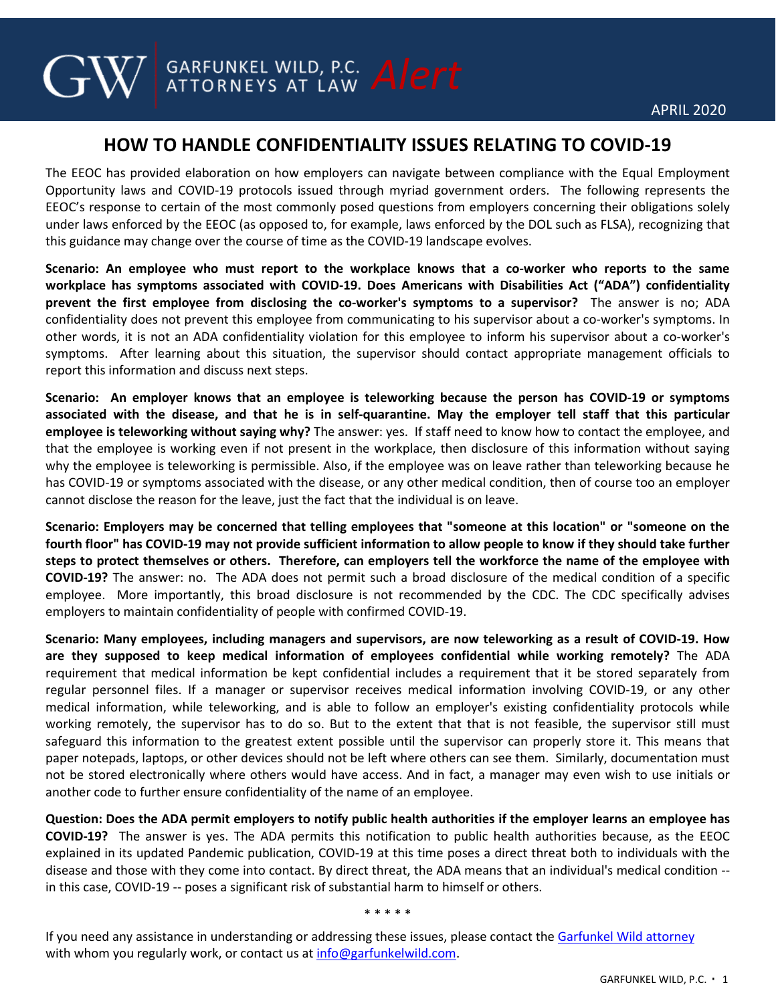## **HOW TO HANDLE CONFIDENTIALITY ISSUES RELATING TO COVID-19**

**GARFUNKEL WILD, P.C.** Alert

The EEOC has provided elaboration on how employers can navigate between compliance with the Equal Employment Opportunity laws and COVID-19 protocols issued through myriad government orders. The following represents the EEOC's response to certain of the most commonly posed questions from employers concerning their obligations solely under laws enforced by the EEOC (as opposed to, for example, laws enforced by the DOL such as FLSA), recognizing that this guidance may change over the course of time as the COVID-19 landscape evolves.

**Scenario: An employee who must report to the workplace knows that a co-worker who reports to the same workplace has symptoms associated with COVID-19. Does Americans with Disabilities Act ("ADA") confidentiality prevent the first employee from disclosing the co-worker's symptoms to a supervisor?** The answer is no; ADA confidentiality does not prevent this employee from communicating to his supervisor about a co-worker's symptoms. In other words, it is not an ADA confidentiality violation for this employee to inform his supervisor about a co-worker's symptoms. After learning about this situation, the supervisor should contact appropriate management officials to report this information and discuss next steps.

**Scenario: An employer knows that an employee is teleworking because the person has COVID-19 or symptoms associated with the disease, and that he is in self-quarantine. May the employer tell staff that this particular employee is teleworking without saying why?** The answer: yes. If staff need to know how to contact the employee, and that the employee is working even if not present in the workplace, then disclosure of this information without saying why the employee is teleworking is permissible. Also, if the employee was on leave rather than teleworking because he has COVID-19 or symptoms associated with the disease, or any other medical condition, then of course too an employer cannot disclose the reason for the leave, just the fact that the individual is on leave.

**Scenario: Employers may be concerned that telling employees that "someone at this location" or "someone on the fourth floor" has COVID-19 may not provide sufficient information to allow people to know if they should take further steps to protect themselves or others. Therefore, can employers tell the workforce the name of the employee with COVID-19?** The answer: no. The ADA does not permit such a broad disclosure of the medical condition of a specific employee. More importantly, this broad disclosure is not recommended by the CDC. The CDC specifically advises employers to maintain confidentiality of people with confirmed COVID-19.

**Scenario: Many employees, including managers and supervisors, are now teleworking as a result of COVID-19. How are they supposed to keep medical information of employees confidential while working remotely?** The ADA requirement that medical information be kept confidential includes a requirement that it be stored separately from regular personnel files. If a manager or supervisor receives medical information involving COVID-19, or any other medical information, while teleworking, and is able to follow an employer's existing confidentiality protocols while working remotely, the supervisor has to do so. But to the extent that that is not feasible, the supervisor still must safeguard this information to the greatest extent possible until the supervisor can properly store it. This means that paper notepads, laptops, or other devices should not be left where others can see them. Similarly, documentation must not be stored electronically where others would have access. And in fact, a manager may even wish to use initials or another code to further ensure confidentiality of the name of an employee.

**Question: Does the ADA permit employers to notify public health authorities if the employer learns an employee has COVID-19?** The answer is yes. The ADA permits this notification to public health authorities because, as the EEOC explained in its updated Pandemic publication, COVID-19 at this time poses a direct threat both to individuals with the disease and those with they come into contact. By direct threat, the ADA means that an individual's medical condition - in this case, COVID-19 -- poses a significant risk of substantial harm to himself or others.

\* \* \* \* \*

If you need any assistance in understanding or addressing these issues, please contact the [Garfunkel Wild attorney](https://garfunkelwild.com/attorneys/) with whom you regularly work, or contact us at info@garfunkelwild.com.